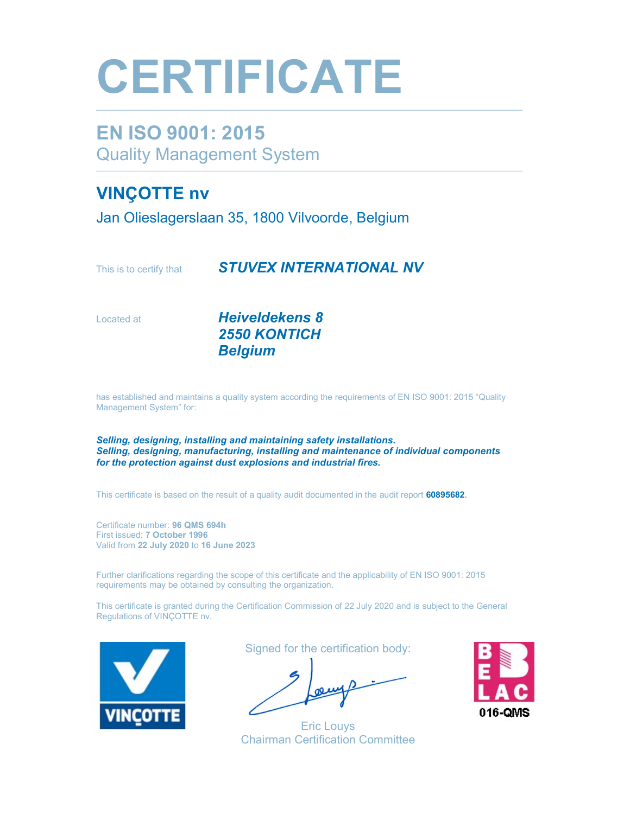## **CERTIFICATE**

#### EN ISO 9001: 2015 Quality Management System

#### VINÇOTTE nv

Jan Olieslagerslaan 35, 1800 Vilvoorde, Belgium

This is to certify that **STUVEX INTERNATIONAL NV** 

Located at **Heiveldekens 8**  2550 KONTICH Belgium

has established and maintains a quality system according the requirements of EN ISO 9001: 2015 "Quality Management System" for:

Selling, designing, installing and maintaining safety installations. Selling, designing, manufacturing, installing and maintenance of individual components for the protection against dust explosions and industrial fires.

This certificate is based on the result of a quality audit documented in the audit report 60895682.

Certificate number: 96 QMS 694h First issued: 7 October 1996 Valid from 22 July 2020 to 16 June 2023

Further clarifications regarding the scope of this certificate and the applicability of EN ISO 9001: 2015 requirements may be obtained by consulting the organization.

This certificate is granted during the Certification Commission of 22 July 2020 and is subject to the General Regulations of VINÇOTTE nv.



Signed for the certification body:

Eric Louys Chairman Certification Committee